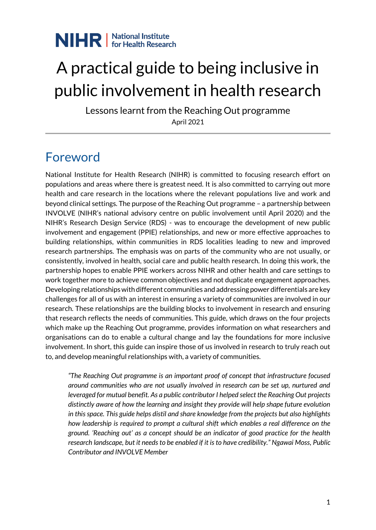

# A practical guide to being inclusive in public involvement in health research

Lessons learnt from the Reaching Out programme April 2021

### Foreword

National Institute for Health Research (NIHR) is committed to focusing research effort on populations and areas where there is greatest need. It is also committed to carrying out more health and care research in the locations where the relevant populations live and work and beyond clinical settings. The purpose of the Reaching Out programme – a partnership between INVOLVE (NIHR's national advisory centre on public involvement until April 2020) and the NIHR's Research Design Service (RDS) - was to encourage the development of new public involvement and engagement (PPIE) relationships, and new or more effective approaches to building relationships, within communities in RDS localities leading to new and improved research partnerships. The emphasis was on parts of the community who are not usually, or consistently, involved in health, social care and public health research. In doing this work, the partnership hopes to enable PPIE workers across NIHR and other health and care settings to work together more to achieve common objectives and not duplicate engagement approaches. Developing relationships with different communities and addressing power differentials are key challenges for all of us with an interest in ensuring a variety of communities are involved in our research. These relationships are the building blocks to involvement in research and ensuring that research reflects the needs of communities. This guide, which draws on the four projects which make up the Reaching Out programme, provides information on what researchers and organisations can do to enable a cultural change and lay the foundations for more inclusive involvement. In short, this guide can inspire those of us involved in research to truly reach out to, and develop meaningful relationships with, a variety of communities.

*"The Reaching Out programme is an important proof of concept that infrastructure focused around communities who are not usually involved in research can be set up, nurtured and leveraged for mutual benefit. As a public contributor I helped select the Reaching Out projects distinctly aware of how the learning and insight they provide will help shape future evolution in this space. This guide helps distil and share knowledge from the projects but also highlights how leadership is required to prompt a cultural shift which enables a real difference on the ground. 'Reaching out' as a concept should be an indicator of good practice for the health research landscape, but it needs to be enabled if it is to have credibility." Ngawai Moss, Public Contributor and INVOLVE Member*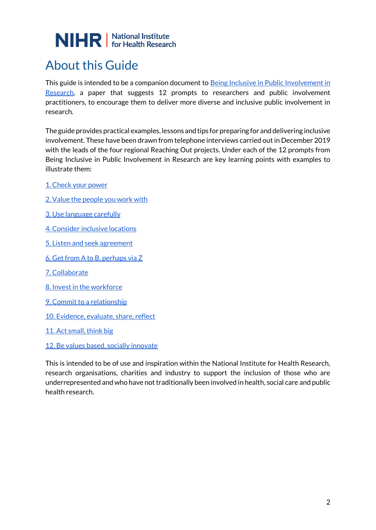### About this Guide

This guide is intended to be a companion document to Being Inclusive in Public Involvement in [Research,](https://www.learningforinvolvement.org.uk/?opportunity=nihr-being-inclusive-in-public-involvement-in-health-research) a paper that suggests 12 prompts to researchers and public involvement practitioners, to encourage them to deliver more diverse and inclusive public involvement in research.

The guide provides practical examples, lessons and tips for preparing for and delivering inclusive involvement. These have been drawn from telephone interviews carried out in December 2019 with the leads of the four regional Reaching Out projects. Under each of the 12 prompts from Being Inclusive in Public Involvement in Research are key learning points with examples to illustrate them:

- [1. Check your power](#page-3-0)
- [2. Value the people you work with](#page-5-0)
- [3. Use language carefully](#page-7-0)
- [4. Consider inclusive locations](#page-10-0)
- [5. Listen and seek agreement](#page-12-0)
- [6. Get from A to B, perhaps via Z](#page-14-0)
- [7. Collaborate](#page-15-0)
- [8. Invest in the workforce](#page-18-0)
- [9. Commit to a relationship](#page-20-0)
- [10. Evidence, evaluate, share, reflect](#page-22-0)
- [11. Act small, think big](#page-23-0)
- [12. Be values based, socially innovate](#page-26-0)

This is intended to be of use and inspiration within the National Institute for Health Research, research organisations, charities and industry to support the inclusion of those who are underrepresented and who have not traditionally been involved in health, social care and public health research.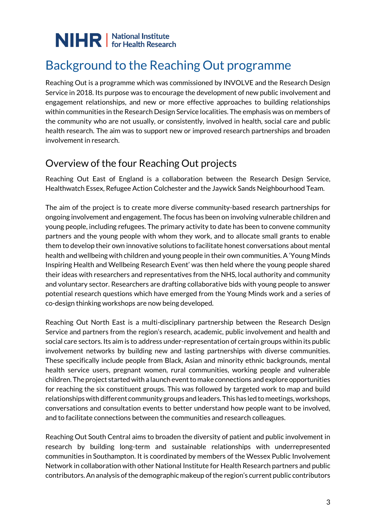### Background to the Reaching Out programme

Reaching Out is a programme which was commissioned by INVOLVE and the Research Design Service in 2018. Its purpose was to encourage the development of new public involvement and engagement relationships, and new or more effective approaches to building relationships within communities in the Research Design Service localities. The emphasis was on members of the community who are not usually, or consistently, involved in health, social care and public health research. The aim was to support new or improved research partnerships and broaden involvement in research.

#### Overview of the four Reaching Out projects

Reaching Out East of England is a collaboration between the Research Design Service, Healthwatch Essex, Refugee Action Colchester and the Jaywick Sands Neighbourhood Team.

The aim of the project is to create more diverse community-based research partnerships for ongoing involvement and engagement. The focus has been on involving vulnerable children and young people, including refugees. The primary activity to date has been to convene community partners and the young people with whom they work, and to allocate small grants to enable them to develop their own innovative solutions to facilitate honest conversations about mental health and wellbeing with children and young people in their own communities. A 'Young Minds Inspiring Health and Wellbeing Research Event' was then held where the young people shared their ideas with researchers and representatives from the NHS, local authority and community and voluntary sector. Researchers are drafting collaborative bids with young people to answer potential research questions which have emerged from the Young Minds work and a series of co-design thinking workshops are now being developed.

Reaching Out North East is a multi-disciplinary partnership between the Research Design Service and partners from the region's research, academic, public involvement and health and social care sectors. Its aim is to address under-representation of certain groups within its public involvement networks by building new and lasting partnerships with diverse communities. These specifically include people from Black, Asian and minority ethnic backgrounds, mental health service users, pregnant women, rural communities, working people and vulnerable children. The project started with a launch event to make connections and explore opportunities for reaching the six constituent groups. This was followed by targeted work to map and build relationships with different community groups and leaders. This has led to meetings, workshops, conversations and consultation events to better understand how people want to be involved, and to facilitate connections between the communities and research colleagues.

Reaching Out South Central aims to broaden the diversity of patient and public involvement in research by building long-term and sustainable relationships with underrepresented communities in Southampton. It is coordinated by members of the Wessex Public Involvement Network in collaboration with other National Institute for Health Research partners and public contributors. An analysis of the demographic makeup of the region's current public contributors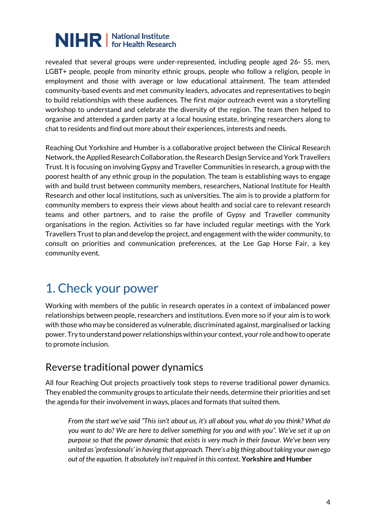revealed that several groups were under-represented, including people aged 26- 55, men, LGBT+ people, people from minority ethnic groups, people who follow a religion, people in employment and those with average or low educational attainment. The team attended community-based events and met community leaders, advocates and representatives to begin to build relationships with these audiences. The first major outreach event was a storytelling workshop to understand and celebrate the diversity of the region. The team then helped to organise and attended a garden party at a local housing estate, bringing researchers along to chat to residents and find out more about their experiences, interests and needs.

Reaching Out Yorkshire and Humber is a collaborative project between the Clinical Research Network, the Applied Research Collaboration, the Research Design Service and York Travellers Trust. It is focusing on involving Gypsy and Traveller Communities in research, a group with the poorest health of any ethnic group in the population. The team is establishing ways to engage with and build trust between community members, researchers, National Institute for Health Research and other local institutions, such as universities. The aim is to provide a platform for community members to express their views about health and social care to relevant research teams and other partners, and to raise the profile of Gypsy and Traveller community organisations in the region. Activities so far have included regular meetings with the York Travellers Trust to plan and develop the project, and engagement with the wider community, to consult on priorities and communication preferences, at the Lee Gap Horse Fair, a key community event.

### <span id="page-3-0"></span>1. Check your power

Working with members of the public in research operates in a context of imbalanced power relationships between people, researchers and institutions. Even more so if your aim is to work with those who may be considered as vulnerable, discriminated against, marginalised or lacking power. Try to understand power relationships within your context, your role and how to operate to promote inclusion.

#### Reverse traditional power dynamics

All four Reaching Out projects proactively took steps to reverse traditional power dynamics. They enabled the community groups to articulate their needs, determine their priorities and set the agenda for their involvement in ways, places and formats that suited them.

*From the start we've said "This isn't about us, it's all about you, what do you think? What do you want to do? We are here to deliver something for you and with you". We've set it up on purpose so that the power dynamic that exists is very much in their favour. We've been very united as 'professionals' in having that approach. There's a big thing about taking your own ego out of the equation. It absolutely isn't required in this context.* **Yorkshire and Humber**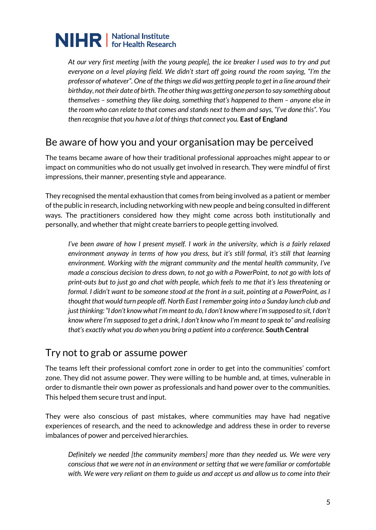*At our very first meeting [with the young people], the ice breaker I used was to try and put everyone on a level playing field. We didn't start off going round the room saying, "I'm the professor of whatever". One of the things we did was getting people to get in a line around their birthday, not their date of birth. The other thing was getting one person to say something about themselves – something they like doing, something that's happened to them – anyone else in the room who can relate to that comes and stands next to them and says, "I've done this". You then recognise that you have a lot of things that connect you.* **East of England** 

#### Be aware of how you and your organisation may be perceived

The teams became aware of how their traditional professional approaches might appear to or impact on communities who do not usually get involved in research. They were mindful of first impressions, their manner, presenting style and appearance.

They recognised the mental exhaustion that comes from being involved as a patient or member of the public in research, including networking with new people and being consulted in different ways. The practitioners considered how they might come across both institutionally and personally, and whether that might create barriers to people getting involved.

*I've been aware of how I present myself. I work in the university, which is a fairly relaxed environment anyway in terms of how you dress, but it's still formal, it's still that learning environment. Working with the migrant community and the mental health community, I've made a conscious decision to dress down, to not go with a PowerPoint, to not go with lots of print-outs but to just go and chat with people, which feels to me that it's less threatening or formal. I didn't want to be someone stood at the front in a suit, pointing at a PowerPoint, as I thought that would turn people off. North East I remember going into a Sunday lunch club and just thinking: "I don't know what I'm meant to do, I don't know where I'm supposed to sit, I don't know where I'm supposed to get a drink, I don't know who I'm meant to speak to" and realising that's exactly what you do when you bring a patient into a conference.* **South Central**

#### Try not to grab or assume power

The teams left their professional comfort zone in order to get into the communities' comfort zone. They did not assume power. They were willing to be humble and, at times, vulnerable in order to dismantle their own power as professionals and hand power over to the communities. This helped them secure trust and input.

They were also conscious of past mistakes, where communities may have had negative experiences of research, and the need to acknowledge and address these in order to reverse imbalances of power and perceived hierarchies.

*Definitely we needed [the community members] more than they needed us. We were very conscious that we were not in an environment or setting that we were familiar or comfortable with. We were very reliant on them to guide us and accept us and allow us to come into their*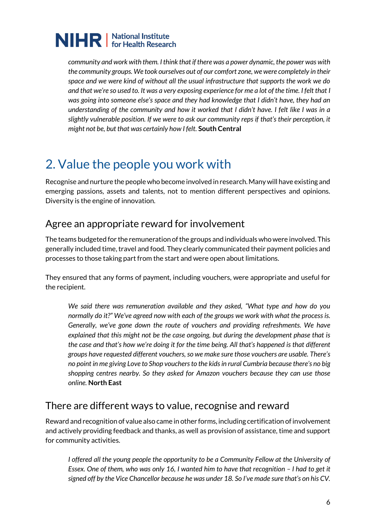*community and work with them. I think that if there was a power dynamic, the power was with the community groups. We took ourselves out of our comfort zone, we were completely in their space and we were kind of without all the usual infrastructure that supports the work we do and that we're so used to. It was a very exposing experience for me a lot of the time. I felt that I was going into someone else's space and they had knowledge that I didn't have, they had an understanding of the community and how it worked that I didn't have. I felt like I was in a slightly vulnerable position. If we were to ask our community reps if that's their perception, it might not be, but that was certainly how I felt.* **South Central**

### <span id="page-5-0"></span>2. Value the people you work with

Recognise and nurture the people who become involved in research. Many will have existing and emerging passions, assets and talents, not to mention different perspectives and opinions. Diversity is the engine of innovation.

### Agree an appropriate reward for involvement

The teams budgeted for the remuneration of the groups and individuals who were involved. This generally included time, travel and food. They clearly communicated their payment policies and processes to those taking part from the start and were open about limitations.

They ensured that any forms of payment, including vouchers, were appropriate and useful for the recipient.

*We said there was remuneration available and they asked, "What type and how do you normally do it?" We've agreed now with each of the groups we work with what the process is. Generally, we've gone down the route of vouchers and providing refreshments. We have explained that this might not be the case ongoing, but during the development phase that is the case and that's how we're doing it for the time being. All that's happened is that different groups have requested different vouchers, so we make sure those vouchers are usable. There's no point in me giving Love to Shop vouchers to the kids in rural Cumbria because there's no big shopping centres nearby. So they asked for Amazon vouchers because they can use those online.* **North East**

#### There are different ways to value, recognise and reward

Reward and recognition of value also came in other forms, including certification of involvement and actively providing feedback and thanks, as well as provision of assistance, time and support for community activities.

*I offered all the young people the opportunity to be a Community Fellow at the University of Essex. One of them, who was only 16, I wanted him to have that recognition - I had to get it signed off by the Vice Chancellor because he was under 18. So I've made sure that's on his CV.*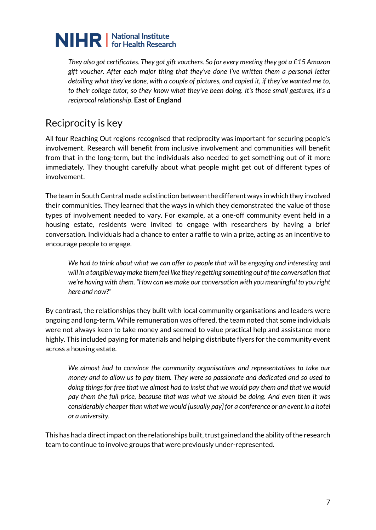*They also got certificates. They got gift vouchers. So for every meeting they got a £15 Amazon gift voucher. After each major thing that they've done I've written them a personal letter detailing what they've done, with a couple of pictures, and copied it, if they've wanted me to, to their college tutor, so they know what they've been doing. It's those small gestures, it's a reciprocal relationship*. **East of England**

#### Reciprocity is key

All four Reaching Out regions recognised that reciprocity was important for securing people's involvement. Research will benefit from inclusive involvement and communities will benefit from that in the long-term, but the individuals also needed to get something out of it more immediately. They thought carefully about what people might get out of different types of involvement.

The team in South Central made a distinction between the different ways in which they involved their communities. They learned that the ways in which they demonstrated the value of those types of involvement needed to vary. For example, at a one-off community event held in a housing estate, residents were invited to engage with researchers by having a brief conversation. Individuals had a chance to enter a raffle to win a prize, acting as an incentive to encourage people to engage.

We had to think about what we can offer to people that will be engaging and interesting and *will in a tangible way make them feel like they're getting something out of the conversation that we're having with them. "How can we make our conversation with you meaningful to you right here and now?"* 

By contrast, the relationships they built with local community organisations and leaders were ongoing and long-term. While remuneration was offered, the team noted that some individuals were not always keen to take money and seemed to value practical help and assistance more highly. This included paying for materials and helping distribute flyers for the community event across a housing estate.

*We almost had to convince the community organisations and representatives to take our money and to allow us to pay them. They were so passionate and dedicated and so used to doing things for free that we almost had to insist that we would pay them and that we would pay them the full price, because that was what we should be doing. And even then it was considerably cheaper than what we would [usually pay] for a conference or an event in a hotel or a university.* 

This has had a direct impact on the relationships built, trust gained and the ability of the research team to continue to involve groups that were previously under-represented.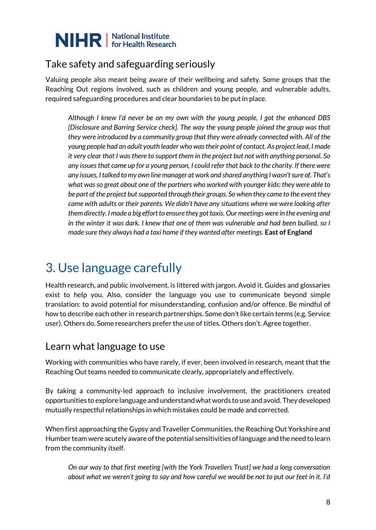

#### Take safety and safeguarding seriously

Valuing people also meant being aware of their wellbeing and safety. Some groups that the Reaching Out regions involved, such as children and young people, and vulnerable adults, required safeguarding procedures and clear boundaries to be put in place.

*Although I knew I'd never be on my own with the young people, I got the enhanced DBS [Disclosure and Barring Service check]. The way the young people joined the group was that they were introduced by a community group that they were already connected with. All of the young people had an adult youth leader who was their point of contact. As project lead, I made it very clear that I was there to support them in the project but not with anything personal. So any issues that came up for a young person, I could refer that back to the charity. If there were any issues, I talked to my own line manager at work and shared anything I wasn't sure of. That's what was so great about one of the partners who worked with younger kids: they were able to be part of the project but supported through their groups. So when they came to the event they came with adults or their parents. We didn't have any situations where we were looking after them directly. I made a big effort to ensure they got taxis. Our meetings were in the evening and in the winter it was dark. I knew that one of them was vulnerable and had been bullied, so I made sure they always had a taxi home if they wanted after meetings.* **East of England**

### <span id="page-7-0"></span>3. Use language carefully

Health research, and public involvement, is littered with jargon. Avoid it. Guides and glossaries exist to help you. Also, consider the language you use to communicate beyond simple translation: to avoid potential for misunderstanding, confusion and/or offence. Be mindful of how to describe each other in research partnerships. Some don't like certain terms (e.g. Service user). Others do. Some researchers prefer the use of titles. Others don't. Agree together.

#### Learn what language to use

Working with communities who have rarely, if ever, been involved in research, meant that the Reaching Out teams needed to communicate clearly, appropriately and effectively.

By taking a community-led approach to inclusive involvement, the practitioners created opportunities to explore language and understand what words to use and avoid. They developed mutually respectful relationships in which mistakes could be made and corrected.

When first approaching the Gypsy and Traveller Communities, the Reaching Out Yorkshire and Humber team were acutely aware of the potential sensitivities of language and the need to learn from the community itself.

*On our way to that first meeting [with the York Travellers Trust] we had a long conversation about what we weren't going to say and how careful we would be not to put our feet in it. I'd*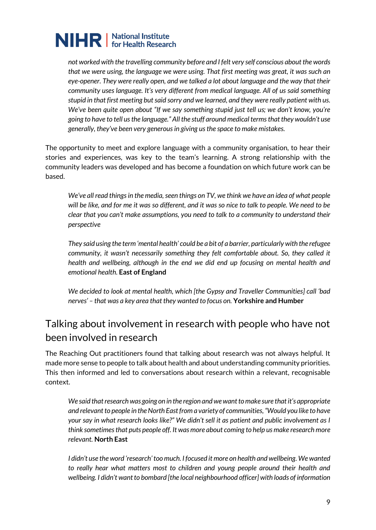*not worked with the travelling community before and I felt very self conscious about the words that we were using, the language we were using. That first meeting was great, it was such an eye-opener. They were really open, and we talked a lot about language and the way that their community uses language. It's very different from medical language. All of us said something stupid in that first meeting but said sorry and we learned, and they were really patient with us. We've been quite open about "If we say something stupid just tell us; we don't know, you're going to have to tell us the language." All the stuff around medical terms that they wouldn't use generally, they've been very generous in giving us the space to make mistakes.* 

The opportunity to meet and explore language with a community organisation, to hear their stories and experiences, was key to the team's learning. A strong relationship with the community leaders was developed and has become a foundation on which future work can be based.

*We've all read things in the media, seen things on TV, we think we have an idea of what people will be like, and for me it was so different, and it was so nice to talk to people. We need to be clear that you can't make assumptions, you need to talk to a community to understand their perspective* 

*They said using the term 'mental health' could be a bit of a barrier, particularly with the refugee community, it wasn't necessarily something they felt comfortable about. So, they called it health and wellbeing, although in the end we did end up focusing on mental health and emotional health.* **East of England** 

*We decided to look at mental health, which [the Gypsy and Traveller Communities] call 'bad nerves' – that was a key area that they wanted to focus on.* **Yorkshire and Humber**

#### Talking about involvement in research with people who have not been involved in research

The Reaching Out practitioners found that talking about research was not always helpful. It made more sense to people to talk about health and about understanding community priorities. This then informed and led to conversations about research within a relevant, recognisable context.

*We said that research was going on in the region and we want to make sure that it's appropriate and relevant to people in the North East from a variety of communities, "Would you like to have your say in what research looks like?" We didn't sell it as patient and public involvement as I think sometimes that puts people off. It was more about coming to help us make research more relevant.* **North East**

*I didn't use the word 'research' too much. I focused it more on health and wellbeing. We wanted to really hear what matters most to children and young people around their health and*  wellbeing. I didn't want to bombard [the local neighbourhood officer] with loads of information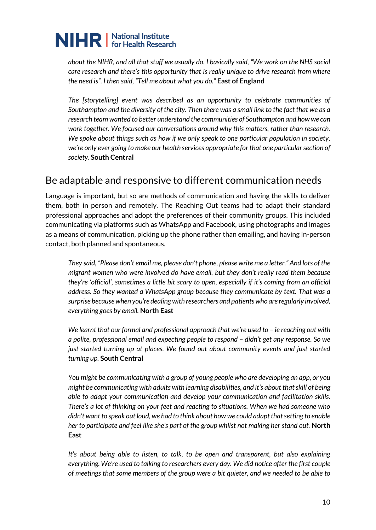*about the NIHR, and all that stuff we usually do. I basically said, "We work on the NHS social care research and there's this opportunity that is really unique to drive research from where the need is". I then said, "Tell me about what you do."* **East of England**

*The [storytelling] event was described as an opportunity to celebrate communities of Southampton and the diversity of the city. Then there was a small link to the fact that we as a research team wanted to better understand the communities of Southampton and how we can work together. We focused our conversations around why this matters, rather than research. We spoke about things such as how if we only speak to one particular population in society, we're only ever going to make our health services appropriate for that one particular section of society*. **South Central** 

#### Be adaptable and responsive to different communication needs

Language is important, but so are methods of communication and having the skills to deliver them, both in person and remotely. The Reaching Out teams had to adapt their standard professional approaches and adopt the preferences of their community groups. This included communicating via platforms such as WhatsApp and Facebook, using photographs and images as a means of communication, picking up the phone rather than emailing, and having in-person contact, both planned and spontaneous.

*They said, "Please don't email me, please don't phone, please write me a letter." And lots of the migrant women who were involved do have email, but they don't really read them because they're 'official', sometimes a little bit scary to open, especially if it's coming from an official address. So they wanted a WhatsApp group because they communicate by text. That was a surprise because when you're dealing with researchers and patients who are regularly involved, everything goes by email.* **North East** 

*We learnt that our formal and professional approach that we're used to – ie reaching out with a polite, professional email and expecting people to respond – didn't get any response. So we just started turning up at places. We found out about community events and just started turning up.* **South Central** 

*You might be communicating with a group of young people who are developing an app, or you might be communicating with adults with learning disabilities, and it's about that skill of being able to adapt your communication and develop your communication and facilitation skills. There's a lot of thinking on your feet and reacting to situations. When we had someone who didn't want to speak out loud, we had to think about how we could adapt that setting to enable her to participate and feel like she's part of the group whilst not making her stand out.* **North East**

*It's about being able to listen, to talk, to be open and transparent, but also explaining everything. We're used to talking to researchers every day. We did notice after the first couple of meetings that some members of the group were a bit quieter, and we needed to be able to*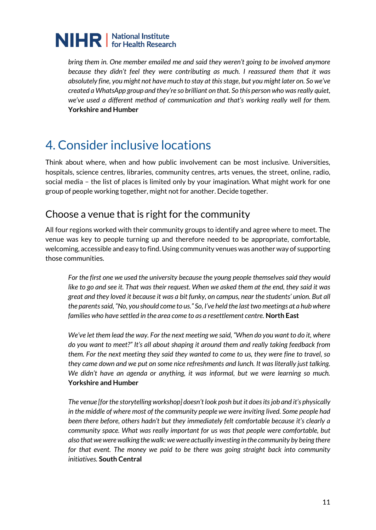

*bring them in. One member emailed me and said they weren't going to be involved anymore because they didn't feel they were contributing as much. I reassured them that it was absolutely fine, you might not have much to stay at this stage, but you might later on. So we've created a WhatsApp group and they're so brilliant on that. So this person who was really quiet, we've used a different method of communication and that's working really well for them.* **Yorkshire and Humber**

### <span id="page-10-0"></span>4. Consider inclusive locations

Think about where, when and how public involvement can be most inclusive. Universities, hospitals, science centres, libraries, community centres, arts venues, the street, online, radio, social media – the list of places is limited only by your imagination. What might work for one group of people working together, might not for another. Decide together.

#### Choose a venue that is right for the community

All four regions worked with their community groups to identify and agree where to meet. The venue was key to people turning up and therefore needed to be appropriate, comfortable, welcoming, accessible and easy to find. Using community venues was another way of supporting those communities.

*For the first one we used the university because the young people themselves said they would like to go and see it. That was their request. When we asked them at the end, they said it was great and they loved it because it was a bit funky, on campus, near the students' union. But all the parents said, "No, you should come to us." So, I've held the last two meetings at a hub where families who have settled in the area come to as a resettlement centre.* **North East** 

*We've let them lead the way. For the next meeting we said, "When do you want to do it, where do you want to meet?" It's all about shaping it around them and really taking feedback from them. For the next meeting they said they wanted to come to us, they were fine to travel, so they came down and we put on some nice refreshments and lunch. It was literally just talking. We didn't have an agenda or anything, it was informal, but we were learning so much.*  **Yorkshire and Humber** 

*The venue [for the storytelling workshop] doesn't look posh but it does its job and it's physically in the middle of where most of the community people we were inviting lived. Some people had been there before, others hadn't but they immediately felt comfortable because it's clearly a community space. What was really important for us was that people were comfortable, but also that we were walking the walk: we were actually investing in the community by being there for that event. The money we paid to be there was going straight back into community initiatives.* **South Central**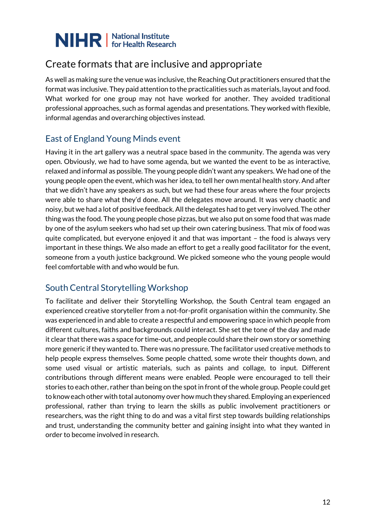#### Create formats that are inclusive and appropriate

As well as making sure the venue was inclusive, the Reaching Out practitioners ensured that the format was inclusive. They paid attention to the practicalities such as materials, layout and food. What worked for one group may not have worked for another. They avoided traditional professional approaches, such as formal agendas and presentations. They worked with flexible, informal agendas and overarching objectives instead.

#### East of England Young Minds event

Having it in the art gallery was a neutral space based in the community. The agenda was very open. Obviously, we had to have some agenda, but we wanted the event to be as interactive, relaxed and informal as possible. The young people didn't want any speakers. We had one of the young people open the event, which was her idea, to tell her own mental health story. And after that we didn't have any speakers as such, but we had these four areas where the four projects were able to share what they'd done. All the delegates move around. It was very chaotic and noisy, but we had a lot of positive feedback. All the delegates had to get very involved. The other thing was the food. The young people chose pizzas, but we also put on some food that was made by one of the asylum seekers who had set up their own catering business. That mix of food was quite complicated, but everyone enjoyed it and that was important – the food is always very important in these things. We also made an effort to get a really good facilitator for the event, someone from a youth justice background. We picked someone who the young people would feel comfortable with and who would be fun.

#### South Central Storytelling Workshop

To facilitate and deliver their Storytelling Workshop, the South Central team engaged an experienced creative storyteller from a not-for-profit organisation within the community. She was experienced in and able to create a respectful and empowering space in which people from different cultures, faiths and backgrounds could interact. She set the tone of the day and made it clear that there was a space for time-out, and people could share their own story or something more generic if they wanted to. There was no pressure. The facilitator used creative methods to help people express themselves. Some people chatted, some wrote their thoughts down, and some used visual or artistic materials, such as paints and collage, to input. Different contributions through different means were enabled. People were encouraged to tell their stories to each other, rather than being on the spot in front of the whole group. People could get to know each other with total autonomy over how much they shared. Employing an experienced professional, rather than trying to learn the skills as public involvement practitioners or researchers, was the right thing to do and was a vital first step towards building relationships and trust, understanding the community better and gaining insight into what they wanted in order to become involved in research.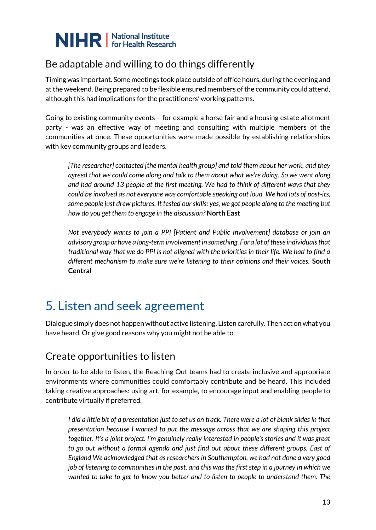

### Be adaptable and willing to do things differently

Timing was important. Some meetings took place outside of office hours, during the evening and at the weekend. Being prepared to be flexible ensured members of the community could attend, although this had implications for the practitioners' working patterns.

Going to existing community events – for example a horse fair and a housing estate allotment party - was an effective way of meeting and consulting with multiple members of the communities at once. These opportunities were made possible by establishing relationships with key community groups and leaders.

*[The researcher] contacted [the mental health group] and told them about her work, and they agreed that we could come along and talk to them about what we're doing. So we went along and had around 13 people at the first meeting. We had to think of different ways that they could be involved as not everyone was comfortable speaking out loud. We had lots of post-its, some people just drew pictures. It tested our skills: yes, we got people along to the meeting but how do you get them to engage in the discussion?* **North East** 

*Not everybody wants to join a PPI [Patient and Public Involvement] database or join an advisory group or have a long-term involvement in something. For a lot of these individuals that traditional way that we do PPI is not aligned with the priorities in their life. We had to find a different mechanism to make sure we're listening to their opinions and their voices.* **South Central**

### <span id="page-12-0"></span>5. Listen and seek agreement

Dialogue simply does not happen without active listening. Listen carefully. Then act on what you have heard. Or give good reasons why you might not be able to.

#### Create opportunities to listen

In order to be able to listen, the Reaching Out teams had to create inclusive and appropriate environments where communities could comfortably contribute and be heard. This included taking creative approaches: using art, for example, to encourage input and enabling people to contribute virtually if preferred.

*I did a little bit of a presentation just to set us on track. There were a lot of blank slides in that presentation because I wanted to put the message across that we are shaping this project together. It's a joint project. I'm genuinely really interested in people's stories and it was great to go out without a formal agenda and just find out about these different groups. East of England We acknowledged that as researchers in Southampton, we had not done a very good job of listening to communities in the past, and this was the first step in a journey in which we wanted to take to get to know you better and to listen to people to understand them. The*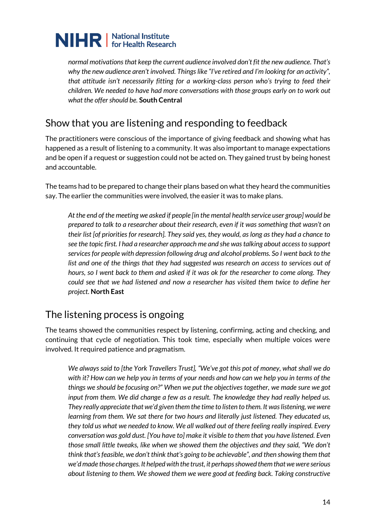

*normal motivations that keep the current audience involved don't fit the new audience. That's why the new audience aren't involved. Things like "I've retired and I'm looking for an activity", that attitude isn't necessarily fitting for a working-class person who's trying to feed their children. We needed to have had more conversations with those groups early on to work out what the offer should be.* **South Central** 

#### Show that you are listening and responding to feedback

The practitioners were conscious of the importance of giving feedback and showing what has happened as a result of listening to a community. It was also important to manage expectations and be open if a request or suggestion could not be acted on. They gained trust by being honest and accountable.

The teams had to be prepared to change their plans based on what they heard the communities say. The earlier the communities were involved, the easier it was to make plans.

*At the end of the meeting we asked if people [in the mental health service user group] would be prepared to talk to a researcher about their research, even if it was something that wasn't on their list [of priorities for research]. They said yes, they would, as long as they had a chance to see the topic first. I had a researcher approach me and she was talking about access to support services for people with depression following drug and alcohol problems. So I went back to the list and one of the things that they had suggested was research on access to services out of hours, so I went back to them and asked if it was ok for the researcher to come along. They could see that we had listened and now a researcher has visited them twice to define her project.* **North East** 

#### The listening process is ongoing

The teams showed the communities respect by listening, confirming, acting and checking, and continuing that cycle of negotiation. This took time, especially when multiple voices were involved. It required patience and pragmatism.

*We always said to [the York Travellers Trust], "We've got this pot of money, what shall we do with it? How can we help you in terms of your needs and how can we help you in terms of the things we should be focusing on?" When we put the objectives together, we made sure we got input from them. We did change a few as a result. The knowledge they had really helped us. They really appreciate that we'd given them the time to listen to them. It was listening, we were learning from them. We sat there for two hours and literally just listened. They educated us, they told us what we needed to know. We all walked out of there feeling really inspired. Every conversation was gold dust. [You have to] make it visible to them that you have listened. Even those small little tweaks, like when we showed them the objectives and they said, "We don't think that's feasible, we don't think that's going to be achievable", and then showing them that we'd made those changes. It helped with the trust, it perhaps showed them that we were serious about listening to them. We showed them we were good at feeding back. Taking constructive*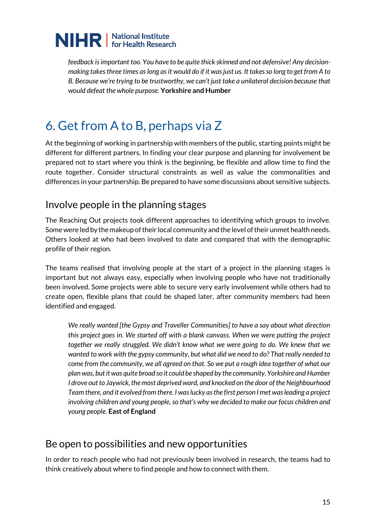*feedback is important too. You have to be quite thick skinned and not defensive! Any decisionmaking takes three times as long as it would do if it was just us. It takes so long to get from A to B. Because we're trying to be trustworthy, we can't just take a unilateral decision because that would defeat the whole purpose.* **Yorkshire and Humber**

### <span id="page-14-0"></span>6. Get from A to B, perhaps via Z

At the beginning of working in partnership with members of the public, starting points might be different for different partners. In finding your clear purpose and planning for involvement be prepared not to start where you think is the beginning, be flexible and allow time to find the route together. Consider structural constraints as well as value the commonalities and differences in your partnership. Be prepared to have some discussions about sensitive subjects.

#### Involve people in the planning stages

The Reaching Out projects took different approaches to identifying which groups to involve. Some were led by the makeup of their local community and the level of their unmet health needs. Others looked at who had been involved to date and compared that with the demographic profile of their region.

The teams realised that involving people at the start of a project in the planning stages is important but not always easy, especially when involving people who have not traditionally been involved. Some projects were able to secure very early involvement while others had to create open, flexible plans that could be shaped later, after community members had been identified and engaged.

*We really wanted [the Gypsy and Traveller Communities] to have a say about what direction this project goes in. We started off with a blank canvass. When we were putting the project together we really struggled. We didn't know what we were going to do. We knew that we wanted to work with the gypsy community, but what did we need to do? That really needed to come from the community, we all agreed on that. So we put a rough idea together of what our plan was, but it was quite broad so it could be shaped by the community. Yorkshire and Humber I drove out to Jaywick, the most deprived ward, and knocked on the door of the Neighbourhood Team there, and it evolved from there. I was lucky as the first person I met was leading a project involving children and young people, so that's why we decided to make our focus children and young people.* **East of England** 

#### Be open to possibilities and new opportunities

In order to reach people who had not previously been involved in research, the teams had to think creatively about where to find people and how to connect with them.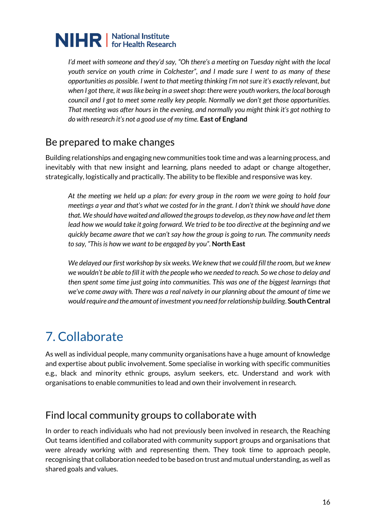*I'd meet with someone and they'd say, "Oh there's a meeting on Tuesday night with the local youth service on youth crime in Colchester", and I made sure I went to as many of these opportunities as possible. I went to that meeting thinking I'm not sure it's exactly relevant, but when I got there, it was like being in a sweet shop: there were youth workers, the local borough council and I got to meet some really key people. Normally we don't get those opportunities. That meeting was after hours in the evening, and normally you might think it's got nothing to do with research it's not a good use of my time.* **East of England** 

#### Be prepared to make changes

Building relationships and engaging new communities took time and was a learning process, and inevitably with that new insight and learning, plans needed to adapt or change altogether, strategically, logistically and practically. The ability to be flexible and responsive was key.

*At the meeting we held up a plan: for every group in the room we were going to hold four meetings a year and that's what we costed for in the grant. I don't think we should have done that. We should have waited and allowed the groups to develop, as they now have and let them lead how we would take it going forward. We tried to be too directive at the beginning and we quickly became aware that we can't say how the group is going to run. The community needs to say, "This is how we want to be engaged by you".* **North East**

*We delayed our first workshop by six weeks. We knew that we could fill the room, but we knew we wouldn't be able to fill it with the people who we needed to reach. So we chose to delay and then spent some time just going into communities. This was one of the biggest learnings that we've come away with. There was a real naivety in our planning about the amount of time we would require and the amount of investment you need for relationship building*. **South Central**

### <span id="page-15-0"></span>7. Collaborate

As well as individual people, many community organisations have a huge amount of knowledge and expertise about public involvement. Some specialise in working with specific communities e.g., black and minority ethnic groups, asylum seekers, etc. Understand and work with organisations to enable communities to lead and own their involvement in research.

#### Find local community groups to collaborate with

In order to reach individuals who had not previously been involved in research, the Reaching Out teams identified and collaborated with community support groups and organisations that were already working with and representing them. They took time to approach people, recognising that collaboration needed to be based on trust and mutual understanding, as well as shared goals and values.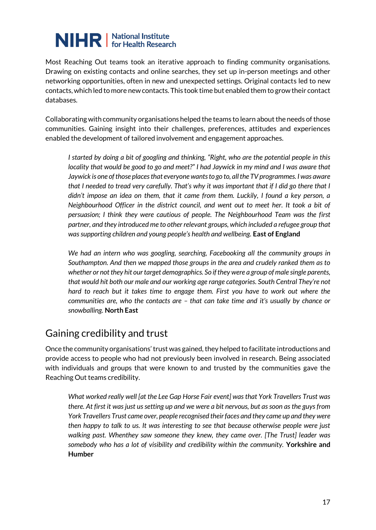Most Reaching Out teams took an iterative approach to finding community organisations. Drawing on existing contacts and online searches, they set up in-person meetings and other networking opportunities, often in new and unexpected settings. Original contacts led to new contacts, which led to more new contacts. This took time but enabled them to grow their contact databases.

Collaborating with community organisations helped the teams to learn about the needs of those communities. Gaining insight into their challenges, preferences, attitudes and experiences enabled the development of tailored involvement and engagement approaches.

*I started by doing a bit of googling and thinking, "Right, who are the potential people in this locality that would be good to go and meet?" I had Jaywick in my mind and I was aware that Jaywick is one of those places that everyone wants to go to, all the TV programmes. I was aware that I needed to tread very carefully. That's why it was important that if I did go there that I didn't impose an idea on them, that it came from them. Luckily, I found a key person, a Neighbourhood Officer in the district council, and went out to meet her. It took a bit of persuasion; I think they were cautious of people. The Neighbourhood Team was the first partner, and they introduced me to other relevant groups, which included a refugee group that was supporting children and young people's health and wellbeing.* **East of England** 

*We had an intern who was googling, searching, Facebooking all the community groups in Southampton. And then we mapped those groups in the area and crudely ranked them as to whether or not they hit our target demographics. So if they were a group of male single parents, that would hit both our male and our working age range categories. South Central They're not hard to reach but it takes time to engage them. First you have to work out where the communities are, who the contacts are – that can take time and it's usually by chance or snowballing.* **North East** 

#### Gaining credibility and trust

Once the community organisations' trust was gained, they helped to facilitate introductions and provide access to people who had not previously been involved in research. Being associated with individuals and groups that were known to and trusted by the communities gave the Reaching Out teams credibility.

*What worked really well [at the Lee Gap Horse Fair event] was that York Travellers Trust was there. At first it was just us setting up and we were a bit nervous, but as soon as the guys from York Travellers Trust came over, people recognised their faces and they came up and they were then happy to talk to us. It was interesting to see that because otherwise people were just walking past. Whenthey saw someone they knew, they came over. [The Trust] leader was somebody who has a lot of visibility and credibility within the community.* **Yorkshire and Humber**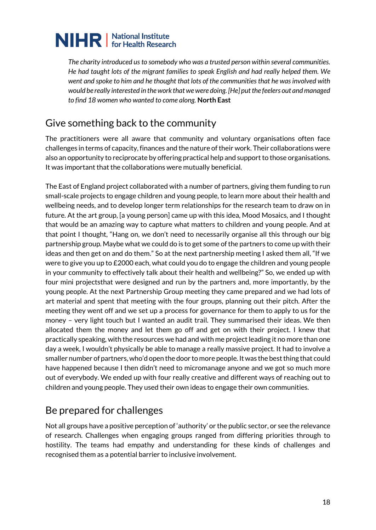*The charity introduced us to somebody who was a trusted person within several communities. He had taught lots of the migrant families to speak English and had really helped them. We went and spoke to him and he thought that lots of the communities that he was involved with would be really interested in the work that we were doing. [He] put the feelers out and managed to find 18 women who wanted to come along.* **North East**

### Give something back to the community

The practitioners were all aware that community and voluntary organisations often face challenges in terms of capacity, finances and the nature of their work. Their collaborations were also an opportunity to reciprocate by offering practical help and support to those organisations. It was important that the collaborations were mutually beneficial.

The East of England project collaborated with a number of partners, giving them funding to run small-scale projects to engage children and young people, to learn more about their health and wellbeing needs, and to develop longer term relationships for the research team to draw on in future. At the art group, [a young person] came up with this idea, Mood Mosaics, and I thought that would be an amazing way to capture what matters to children and young people. And at that point I thought, "Hang on, we don't need to necessarily organise all this through our big partnership group. Maybe what we could do is to get some of the partners to come up with their ideas and then get on and do them." So at the next partnership meeting I asked them all, "If we were to give you up to £2000 each, what could you do to engage the children and young people in your community to effectively talk about their health and wellbeing?" So, we ended up with four mini projectsthat were designed and run by the partners and, more importantly, by the young people. At the next Partnership Group meeting they came prepared and we had lots of art material and spent that meeting with the four groups, planning out their pitch. After the meeting they went off and we set up a process for governance for them to apply to us for the money – very light touch but I wanted an audit trail. They summarised their ideas. We then allocated them the money and let them go off and get on with their project. I knew that practically speaking, with the resources we had and with me project leading it no more than one day a week, I wouldn't physically be able to manage a really massive project. It had to involve a smaller number of partners, who'd open the door to more people. It was the best thing that could have happened because I then didn't need to micromanage anyone and we got so much more out of everybody. We ended up with four really creative and different ways of reaching out to children and young people. They used their own ideas to engage their own communities.

#### Be prepared for challenges

Not all groups have a positive perception of 'authority' or the public sector, or see the relevance of research. Challenges when engaging groups ranged from differing priorities through to hostility. The teams had empathy and understanding for these kinds of challenges and recognised them as a potential barrier to inclusive involvement.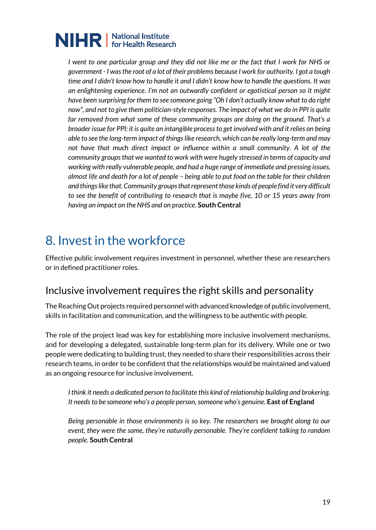*I went to one particular group and they did not like me or the fact that I work for NHS or government - I was the root of a lot of their problems because I work for authority. I got a tough time and I didn't know how to handle it and I didn't know how to handle the questions. It was an enlightening experience. I'm not an outwardly confident or egotistical person so it might have been surprising for them to see someone going "Oh I don't actually know what to do right now", and not to give them politician-style responses. The impact of what we do in PPI is quite far removed from what some of these community groups are doing on the ground. That's a broader issue for PPI: it is quite an intangible process to get involved with and it relies on being able to see the long-term impact of things like research, which can be really long-term and may*  not have that much direct impact or influence within a small community. A lot of the *community groups that we wanted to work with were hugely stressed in terms of capacity and working with really vulnerable people, and had a huge range of immediate and pressing issues, almost life and death for a lot of people – being able to put food on the table for their children and things like that. Community groups that represent those kinds of people find it very difficult to see the benefit of contributing to research that is maybe five, 10 or 15 years away from having an impact on the NHS and on practice*. **South Central**

### <span id="page-18-0"></span>8. Invest in the workforce

Effective public involvement requires investment in personnel, whether these are researchers or in defined practitioner roles.

#### Inclusive involvement requires the right skills and personality

The Reaching Out projects required personnel with advanced knowledge of public involvement, skills in facilitation and communication, and the willingness to be authentic with people.

The role of the project lead was key for establishing more inclusive involvement mechanisms, and for developing a delegated, sustainable long-term plan for its delivery. While one or two people were dedicating to building trust, they needed to share their responsibilities across their research teams, in order to be confident that the relationships would be maintained and valued as an ongoing resource for inclusive involvement.

*I think it needs a dedicated person to facilitate this kind of relationship building and brokering. It needs to be someone who's a people person, someone who's genuine.* **East of England** 

*Being personable in those environments is so key. The researchers we brought along to our event, they were the same, they're naturally personable. They're confident talking to random people.* **South Central**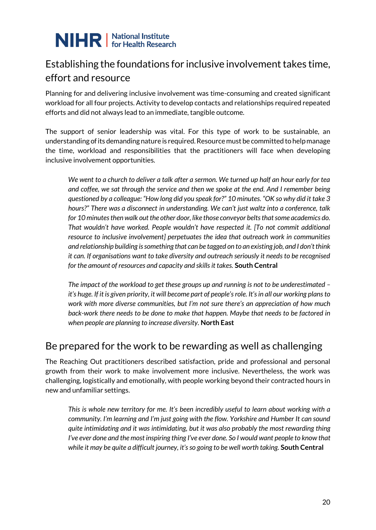### Establishing the foundations for inclusive involvement takes time, effort and resource

Planning for and delivering inclusive involvement was time-consuming and created significant workload for all four projects. Activity to develop contacts and relationships required repeated efforts and did not always lead to an immediate, tangible outcome.

The support of senior leadership was vital. For this type of work to be sustainable, an understanding of its demanding nature is required. Resource must be committed to help manage the time, workload and responsibilities that the practitioners will face when developing inclusive involvement opportunities.

*We went to a church to deliver a talk after a sermon. We turned up half an hour early for tea and coffee, we sat through the service and then we spoke at the end. And I remember being questioned by a colleague: "How long did you speak for?" 10 minutes. "OK so why did it take 3 hours?" There was a disconnect in understanding. We can't just waltz into a conference, talk for 10 minutes then walk out the other door, like those conveyor belts that some academics do. That wouldn't have worked. People wouldn't have respected it. [To not commit additional resource to inclusive involvement] perpetuates the idea that outreach work in communities and relationship building is something that can be tagged on to an existing job, and I don't think it can. If organisations want to take diversity and outreach seriously it needs to be recognised for the amount of resources and capacity and skills it takes.* **South Central** 

*The impact of the workload to get these groups up and running is not to be underestimated – it's huge. If it is given priority, it will become part of people's role. It's in all our working plans to work with more diverse communities, but I'm not sure there's an appreciation of how much back-work there needs to be done to make that happen. Maybe that needs to be factored in when people are planning to increase diversity.* **North East**

#### Be prepared for the work to be rewarding as well as challenging

The Reaching Out practitioners described satisfaction, pride and professional and personal growth from their work to make involvement more inclusive. Nevertheless, the work was challenging, logistically and emotionally, with people working beyond their contracted hours in new and unfamiliar settings.

*This is whole new territory for me. It's been incredibly useful to learn about working with a community. I'm learning and I'm just going with the flow. Yorkshire and Humber It can sound quite intimidating and it was intimidating, but it was also probably the most rewarding thing I've ever done and the most inspiring thing I've ever done. So I would want people to know that while it may be quite a difficult journey, it's so going to be well worth taking.* **South Central**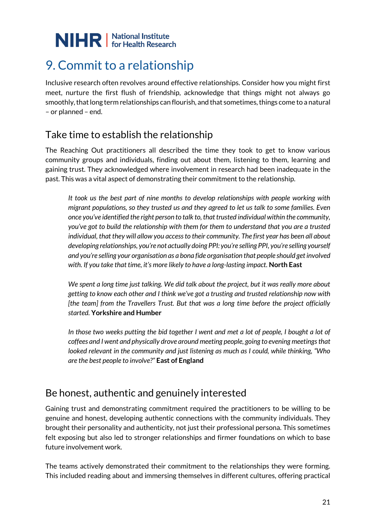### <span id="page-20-0"></span>9. Commit to a relationship

Inclusive research often revolves around effective relationships. Consider how you might first meet, nurture the first flush of friendship, acknowledge that things might not always go smoothly, that long term relationships can flourish, and that sometimes, things come to a natural – or planned – end.

### Take time to establish the relationship

The Reaching Out practitioners all described the time they took to get to know various community groups and individuals, finding out about them, listening to them, learning and gaining trust. They acknowledged where involvement in research had been inadequate in the past. This was a vital aspect of demonstrating their commitment to the relationship.

*It took us the best part of nine months to develop relationships with people working with migrant populations, so they trusted us and they agreed to let us talk to some families. Even once you've identified the right person to talk to, that trusted individual within the community, you've got to build the relationship with them for them to understand that you are a trusted individual, that they will allow you access to their community. The first year has been all about developing relationships, you're not actually doing PPI: you're selling PPI, you're selling yourself and you're selling your organisation as a bona fide organisation that people should get involved with. If you take that time, it's more likely to have a long-lasting impact.* **North East** 

*We spent a long time just talking. We did talk about the project, but it was really more about getting to know each other and I think we've got a trusting and trusted relationship now with [the team] from the Travellers Trust. But that was a long time before the project officially started.* **Yorkshire and Humber** 

*In those two weeks putting the bid together I went and met a lot of people, I bought a lot of coffees and I went and physically drove around meeting people, going to evening meetings that looked relevant in the community and just listening as much as I could, while thinking, "Who are the best people to involve?"* **East of England** 

#### Be honest, authentic and genuinely interested

Gaining trust and demonstrating commitment required the practitioners to be willing to be genuine and honest, developing authentic connections with the community individuals. They brought their personality and authenticity, not just their professional persona. This sometimes felt exposing but also led to stronger relationships and firmer foundations on which to base future involvement work.

The teams actively demonstrated their commitment to the relationships they were forming. This included reading about and immersing themselves in different cultures, offering practical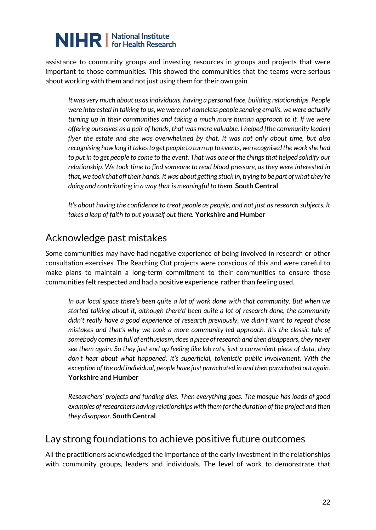assistance to community groups and investing resources in groups and projects that were important to those communities. This showed the communities that the teams were serious about working with them and not just using them for their own gain.

*It was very much about us as individuals, having a personal face, building relationships. People were interested in talking to us, we were not nameless people sending emails, we were actually turning up in their communities and taking a much more human approach to it. If we were offering ourselves as a pair of hands, that was more valuable. I helped [the community leader] flyer the estate and she was overwhelmed by that. It was not only about time, but also recognising how long it takes to get people to turn up to events, we recognised the work she had to put in to get people to come to the event. That was one of the things that helped solidify our relationship. We took time to find someone to read blood pressure, as they were interested in that, we took that off their hands. It was about getting stuck in, trying to be part of what they're doing and contributing in a way that is meaningful to them.* **South Central** 

*It's about having the confidence to treat people as people, and not just as research subjects. It takes a leap of faith to put yourself out there.* **Yorkshire and Humber**

#### Acknowledge past mistakes

Some communities may have had negative experience of being involved in research or other consultation exercises. The Reaching Out projects were conscious of this and were careful to make plans to maintain a long-term commitment to their communities to ensure those communities felt respected and had a positive experience, rather than feeling used.

*In our local space there's been quite a lot of work done with that community. But when we started talking about it, although there'd been quite a lot of research done, the community didn't really have a good experience of research previously, we didn't want to repeat those mistakes and that's why we took a more community-led approach. It's the classic tale of somebody comes in full of enthusiasm, does a piece of research and then disappears, they never see them again. So they just end up feeling like lab rats, just a convenient piece of data, they don't hear about what happened. It's superficial, tokenistic public involvement. With the exception of the odd individual, people have just parachuted in and then parachuted out again.* **Yorkshire and Humber** 

*Researchers' projects and funding dies. Then everything goes. The mosque has loads of good examples of researchers having relationships with them for the duration of the project and then they disappear.* **South Central** 

#### Lay strong foundations to achieve positive future outcomes

All the practitioners acknowledged the importance of the early investment in the relationships with community groups, leaders and individuals. The level of work to demonstrate that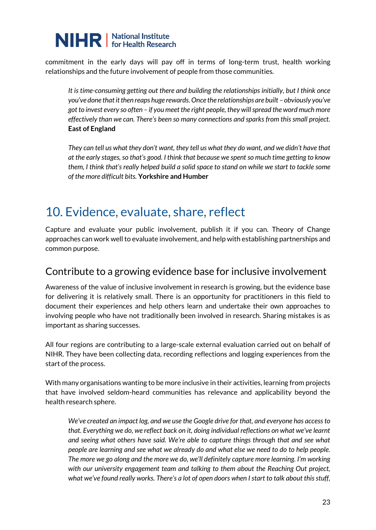commitment in the early days will pay off in terms of long-term trust, health working relationships and the future involvement of people from those communities.

*It is time-consuming getting out there and building the relationships initially, but I think once you've done that it then reaps huge rewards. Once the relationships are built – obviously you've got to invest every so often – if you meet the right people, they will spread the word much more effectively than we can. There's been so many connections and sparks from this small project.*  **East of England** 

*They can tell us what they don't want, they tell us what they do want, and we didn't have that at the early stages, so that's good. I think that because we spent so much time getting to know them, I think that's really helped build a solid space to stand on while we start to tackle some of the more difficult bits.* **Yorkshire and Humber**

### <span id="page-22-0"></span>10. Evidence, evaluate, share, reflect

Capture and evaluate your public involvement, publish it if you can. Theory of Change approaches can work well to evaluate involvement, and help with establishing partnerships and common purpose.

#### Contribute to a growing evidence base for inclusive involvement

Awareness of the value of inclusive involvement in research is growing, but the evidence base for delivering it is relatively small. There is an opportunity for practitioners in this field to document their experiences and help others learn and undertake their own approaches to involving people who have not traditionally been involved in research. Sharing mistakes is as important as sharing successes.

All four regions are contributing to a large-scale external evaluation carried out on behalf of NIHR. They have been collecting data, recording reflections and logging experiences from the start of the process.

With many organisations wanting to be more inclusive in their activities, learning from projects that have involved seldom-heard communities has relevance and applicability beyond the health research sphere.

*We've created an impact log, and we use the Google drive for that, and everyone has access to that. Everything we do, we reflect back on it, doing individual reflections on what we've learnt and seeing what others have said. We're able to capture things through that and see what people are learning and see what we already do and what else we need to do to help people. The more we go along and the more we do, we'll definitely capture more learning. I'm working with our university engagement team and talking to them about the Reaching Out project, what we've found really works. There's a lot of open doors when I start to talk about this stuff,*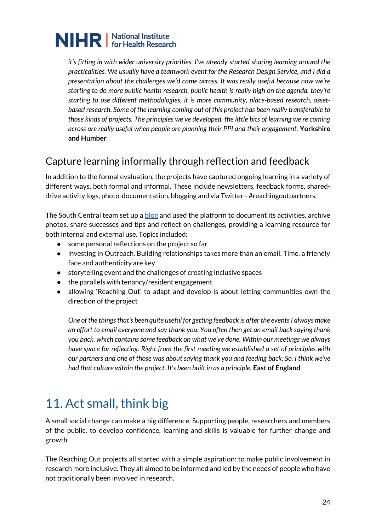*it's fitting in with wider university priorities. I've already started sharing learning around the practicalities. We usually have a teamwork event for the Research Design Service, and I did a presentation about the challenges we'd come across. It was really useful because now we're starting to do more public health research, public health is really high on the agenda, they're starting to use different methodologies, it is more community, place-based research, assetbased research. Some of the learning coming out of this project has been really transferable to those kinds of projects. The principles we've developed, the little bits of learning we're coming across are really useful when people are planning their PPI and their engagement.* **Yorkshire and Humber**

### Capture learning informally through reflection and feedback

In addition to the formal evaluation, the projects have captured ongoing learning in a variety of different ways, both formal and informal. These include newsletters, feedback forms, shareddrive activity logs, photo-documentation, blogging and via Twitter - #reachingoutpartners.

The South Central team set up a **blog** and used the platform to document its activities, archive photos, share successes and tips and reflect on challenges, providing a learning resource for both internal and external use. Topics included:

- some personal reflections on the project so far
- investing in Outreach. Building relationships takes more than an email. Time, a friendly face and authenticity are key
- storytelling event and the challenges of creating inclusive spaces
- the parallels with tenancy/resident engagement
- allowing 'Reaching Out' to adapt and develop is about letting communities own the direction of the project

*One of the things that's been quite useful for getting feedback is after the events I always make an effort to email everyone and say thank you. You often then get an email back saying thank you back, which contains some feedback on what we've done. Within our meetings we always have space for reflecting. Right from the first meeting we established a set of principles with our partners and one of those was about saying thank you and feeding back. So, I think we've had that culture within the project. It's been built in as a principle.* **East of England**

### <span id="page-23-0"></span>11. Act small, think big

A small social change can make a big difference. Supporting people, researchers and members of the public, to develop confidence, learning and skills is valuable for further change and growth.

The Reaching Out projects all started with a simple aspiration: to make public involvement in research more inclusive. They all aimed to be informed and led by the needs of people who have not traditionally been involved in research.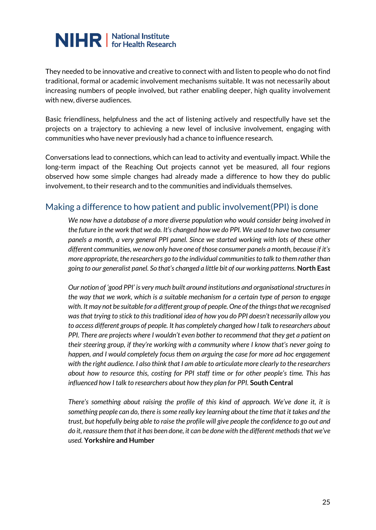They needed to be innovative and creative to connect with and listen to people who do not find traditional, formal or academic involvement mechanisms suitable. It was not necessarily about increasing numbers of people involved, but rather enabling deeper, high quality involvement with new, diverse audiences.

Basic friendliness, helpfulness and the act of listening actively and respectfully have set the projects on a trajectory to achieving a new level of inclusive involvement, engaging with communities who have never previously had a chance to influence research.

Conversations lead to connections, which can lead to activity and eventually impact. While the long-term impact of the Reaching Out projects cannot yet be measured, all four regions observed how some simple changes had already made a difference to how they do public involvement, to their research and to the communities and individuals themselves.

#### Making a difference to how patient and public involvement(PPI) is done

*We now have a database of a more diverse population who would consider being involved in the future in the work that we do. It's changed how we do PPI. We used to have two consumer panels a month, a very general PPI panel. Since we started working with lots of these other different communities, we now only have one of those consumer panels a month, because if it's more appropriate, the researchers go to the individual communities to talk to them rather than going to our generalist panel. So that's changed a little bit of our working patterns.* **North East** 

*Our notion of 'good PPI' is very much built around institutions and organisational structures in the way that we work, which is a suitable mechanism for a certain type of person to engage with. It may not be suitable for a different group of people. One of the things that we recognised was that trying to stick to this traditional idea of how you do PPI doesn't necessarily allow you to access different groups of people. It has completely changed how I talk to researchers about PPI. There are projects where I wouldn't even bother to recommend that they get a patient on their steering group, if they're working with a community where I know that's never going to happen, and I would completely focus them on arguing the case for more ad hoc engagement with the right audience. I also think that I am able to articulate more clearly to the researchers about how to resource this, costing for PPI staff time or for other people's time. This has influenced how I talk to researchers about how they plan for PPI.* **South Central** 

*There's something about raising the profile of this kind of approach. We've done it, it is something people can do, there is some really key learning about the time that it takes and the trust, but hopefully being able to raise the profile will give people the confidence to go out and do it, reassure them that it has been done, it can be done with the different methods that we've used.* **Yorkshire and Humber**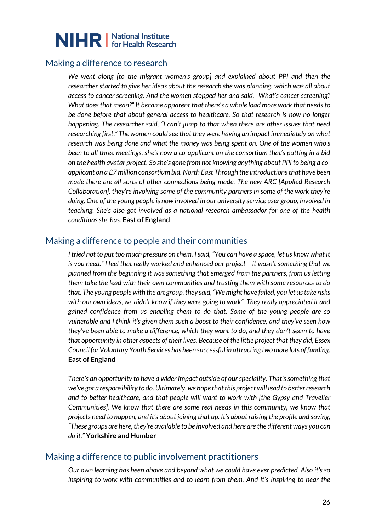

#### Making a difference to research

*We went along [to the migrant women's group] and explained about PPI and then the researcher started to give her ideas about the research she was planning, which was all about access to cancer screening. And the women stopped her and said, "What's cancer screening? What does that mean?" It became apparent that there's a whole load more work that needs to be done before that about general access to healthcare. So that research is now no longer happening. The researcher said, "I can't jump to that when there are other issues that need researching first." The women could see that they were having an impact immediately on what research was being done and what the money was being spent on. One of the women who's been to all three meetings, she's now a co-applicant on the consortium that's putting in a bid on the health avatar project. So she's gone from not knowing anything about PPI to being a coapplicant on a £7 million consortium bid. North East Through the introductions that have been made there are all sorts of other connections being made. The new ARC [Applied Research Collaboration], they're involving some of the community partners in some of the work they're doing. One of the young people is now involved in our university service user group, involved in teaching. She's also got involved as a national research ambassador for one of the health conditions she has.* **East of England**

#### Making a difference to people and their communities

*I tried not to put too much pressure on them. I said, "You can have a space, let us know what it is you need." I feel that really worked and enhanced our project – it wasn't something that we planned from the beginning it was something that emerged from the partners, from us letting them take the lead with their own communities and trusting them with some resources to do that. The young people with the art group, they said, "We might have failed, you let us take risks with our own ideas, we didn't know if they were going to work". They really appreciated it and gained confidence from us enabling them to do that. Some of the young people are so vulnerable and I think it's given them such a boost to their confidence, and they've seen how they've been able to make a difference, which they want to do, and they don't seem to have that opportunity in other aspects of their lives. Because of the little project that they did, Essex Council for Voluntary Youth Services has been successful in attracting two more lots of funding.* **East of England** 

*There's an opportunity to have a wider impact outside of our speciality. That's something that we've got a responsibility to do. Ultimately, we hope that this project will lead to better research and to better healthcare, and that people will want to work with [the Gypsy and Traveller Communities]. We know that there are some real needs in this community, we know that projects need to happen, and it's about joining that up. It's about raising the profile and saying, "These groups are here, they're available to be involved and here are the different ways you can do it."* **Yorkshire and Humber**

#### Making a difference to public involvement practitioners

*Our own learning has been above and beyond what we could have ever predicted. Also it's so inspiring to work with communities and to learn from them. And it's inspiring to hear the*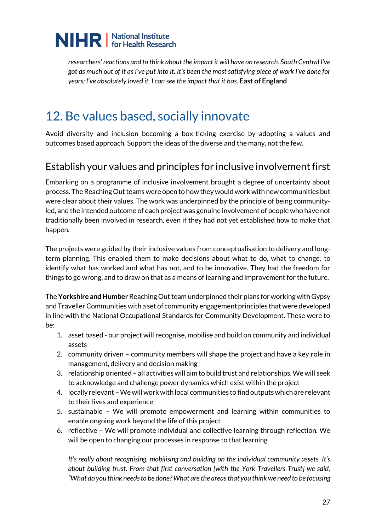

*researchers' reactions and to think about the impact it will have on research. South Central I've got as much out of it as I've put into it. It's been the most satisfying piece of work I've done for years; I've absolutely loved it. I can see the impact that it has.* **East of England**

### <span id="page-26-0"></span>12. Be values based, socially innovate

Avoid diversity and inclusion becoming a box-ticking exercise by adopting a values and outcomes based approach. Support the ideas of the diverse and the many, not the few.

#### Establish your values and principles for inclusive involvement first

Embarking on a programme of inclusive involvement brought a degree of uncertainty about process. The Reaching Out teams were open to how they would work with new communities but were clear about their values. The work was underpinned by the principle of being communityled, and the intended outcome of each project was genuine involvement of people who have not traditionally been involved in research, even if they had not yet established how to make that happen.

The projects were guided by their inclusive values from conceptualisation to delivery and longterm planning. This enabled them to make decisions about what to do, what to change, to identify what has worked and what has not, and to be innovative. They had the freedom for things to go wrong, and to draw on that as a means of learning and improvement for the future.

The **Yorkshire and Humber** Reaching Out team underpinned their plans for working with Gypsy and Traveller Communities with a set of community engagement principles that were developed in line with the National Occupational Standards for Community Development. These were to be:

- 1. asset based our project will recognise, mobilise and build on community and individual assets
- 2. community driven community members will shape the project and have a key role in management, delivery and decision making
- 3. relationship oriented all activities will aim to build trust and relationships. We will seek to acknowledge and challenge power dynamics which exist within the project
- 4. locally relevant –We will work with local communities to find outputs which are relevant to their lives and experience
- 5. sustainable We will promote empowerment and learning within communities to enable ongoing work beyond the life of this project
- 6. reflective We will promote individual and collective learning through reflection. We will be open to changing our processes in response to that learning

*It's really about recognising, mobilising and building on the individual community assets. It's about building trust. From that first conversation [with the York Travellers Trust] we said, "What do you think needs to be done? What are the areas that you think we need to be focusing*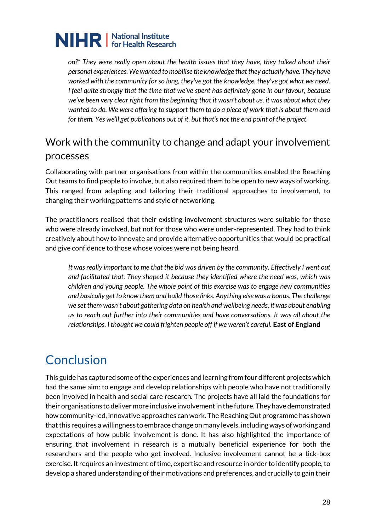*on?" They were really open about the health issues that they have, they talked about their personal experiences. We wanted to mobilise the knowledge that they actually have. They have worked with the community for so long, they've got the knowledge, they've got what we need. I feel quite strongly that the time that we've spent has definitely gone in our favour, because we've been very clear right from the beginning that it wasn't about us, it was about what they wanted to do. We were offering to support them to do a piece of work that is about them and for them. Yes we'll get publications out of it, but that's not the end point of the project.* 

### Work with the community to change and adapt your involvement processes

Collaborating with partner organisations from within the communities enabled the Reaching Out teams to find people to involve, but also required them to be open to new ways of working. This ranged from adapting and tailoring their traditional approaches to involvement, to changing their working patterns and style of networking.

The practitioners realised that their existing involvement structures were suitable for those who were already involved, but not for those who were under-represented. They had to think creatively about how to innovate and provide alternative opportunities that would be practical and give confidence to those whose voices were not being heard.

*It was really important to me that the bid was driven by the community. Effectively I went out and facilitated that. They shaped it because they identified where the need was, which was children and young people. The whole point of this exercise was to engage new communities and basically get to know them and build those links. Anything else was a bonus. The challenge we set them wasn't about gathering data on health and wellbeing needs, it was about enabling us to reach out further into their communities and have conversations. It was all about the relationships. I thought we could frighten people off if we weren't careful.* **East of England**

### **Conclusion**

This guide has captured some of the experiences and learning from four different projects which had the same aim: to engage and develop relationships with people who have not traditionally been involved in health and social care research. The projects have all laid the foundations for their organisations to deliver more inclusive involvement in the future. They have demonstrated how community-led, innovative approaches can work. The Reaching Out programme has shown that this requires a willingness to embrace change on many levels, including ways of working and expectations of how public involvement is done. It has also highlighted the importance of ensuring that involvement in research is a mutually beneficial experience for both the researchers and the people who get involved. Inclusive involvement cannot be a tick-box exercise. It requires an investment of time, expertise and resource in order to identify people, to develop a shared understanding of their motivations and preferences, and crucially to gain their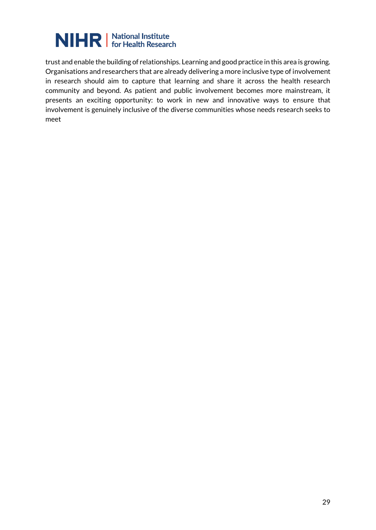

trust and enable the building of relationships. Learning and good practice in this area is growing. Organisations and researchers that are already delivering a more inclusive type of involvement in research should aim to capture that learning and share it across the health research community and beyond. As patient and public involvement becomes more mainstream, it presents an exciting opportunity: to work in new and innovative ways to ensure that involvement is genuinely inclusive of the diverse communities whose needs research seeks to meet